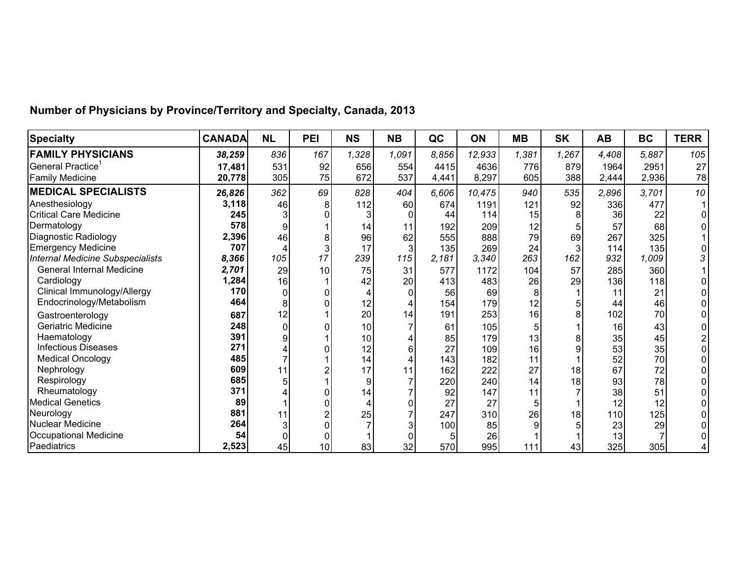| <b>Specialty</b>                 | <b>CANADA</b> | <b>NL</b> | PEI | <b>NS</b> | <b>NB</b> | QC    | ON     | <b>MB</b> | <b>SK</b>      | <b>AB</b> | <b>BC</b> | <b>TERR</b> |
|----------------------------------|---------------|-----------|-----|-----------|-----------|-------|--------|-----------|----------------|-----------|-----------|-------------|
| <b>FAMILY PHYSICIANS</b>         | 38,259        | 836       | 167 | 1,328     | 1,091     | 8,856 | 12,933 | 1,381     | 1,267          | 4,408     | 5,887     | 105         |
| General Practice <sup>1</sup>    | 17,481        | 531       | 92  | 656       | 554       | 4415  | 4636   | 776       | 879            | 1964      | 2951      | 27          |
| <b>Family Medicine</b>           | 20,778        | 305       | 75  | 672       | 537       | 4,441 | 8,297  | 605       | 388            | 2,444     | 2,936     | 78          |
| <b>MEDICAL SPECIALISTS</b>       | 26,826        | 362       | 69  | 828       | 404       | 6,606 | 10,475 | 940       | 535            | 2,896     | 3,701     | 10          |
| Anesthesiology                   | 3,118         | 46        | 8   | 112       | 60        | 674   | 1191   | 121       | 92             | 336       | 477       |             |
| <b>Critical Care Medicine</b>    | 245           |           | 0   |           |           | 44    | 114    | 15        | 8              | 36        | 22        |             |
| Dermatology                      | 578           | 9         |     | 14        | 11        | 192   | 209    | 12        |                | 57        | 68        |             |
| Diagnostic Radiology             | 2,396         | 46        | 8   | 96        | 62        | 555   | 888    | 79        | 69             | 267       | 325       |             |
| <b>Emergency Medicine</b>        | 707           |           | 3   | 17        | 3         | 135   | 269    | 24        | $\overline{3}$ | 114       | 135       |             |
| Internal Medicine Subspecialists | 8,366         | 105       | 17  | 239       | 115       | 2,181 | 3,340  | 263       | 162            | 932       | 1,009     |             |
| <b>General Internal Medicine</b> | 2,701         | 29        | 10  | 75        | 31        | 577   | 1172   | 104       | 57             | 285       | 360       |             |
| Cardiology                       | 1,284         | 16        |     | 42        | 20        | 413   | 483    | 26        | 29             | 136       | 118       |             |
| Clinical Immunology/Allergy      | 170           | $\Omega$  |     |           |           | 56    | 69     |           |                | 11        | 21        |             |
| Endocrinology/Metabolism         | 464           | 8         |     | 12        |           | 154   | 179    | 12        |                | 44        | 46        |             |
| Gastroenterology                 | 687           | 12        |     | 20        | 14        | 191   | 253    | 16        | 8              | 102       | 70        |             |
| Geriatric Medicine               | 248           | $\Omega$  |     | 10        |           | 61    | 105    |           |                | 16        | 43        |             |
| Haematology                      | 391           | q         |     | 10        |           | 85    | 179    | 13        |                | 35        | 45        |             |
| <b>Infectious Diseases</b>       | 271           |           |     | 12        |           | 27    | 109    | 16        |                | 53        | 35        |             |
| <b>Medical Oncology</b>          | 485           |           |     | 14        |           | 143   | 182    | 11        |                | 52        | 70        |             |
| Nephrology                       | 609           | 11        |     | 17        | 11        | 162   | 222    | 27        | 18             | 67        | 72        |             |
| Respirology                      | 685           |           |     | 9         |           | 220   | 240    | 14        | 18             | 93        | 78        |             |
| Rheumatology                     | 371           |           |     | 14        |           | 92    | 147    | 11        |                | 38        | 51        |             |
| <b>Medical Genetics</b>          | 89            |           |     |           |           | 27    | 27     |           |                | 12        | 12        |             |
| Neurology                        | 881           | 11        |     | 25        |           | 247   | 310    | 26        | 18             | 110       | 125       |             |
| Nuclear Medicine                 | 264           |           |     |           |           | 100   | 85     |           |                | 23        | 29        |             |
| <b>Occupational Medicine</b>     | 54            |           |     |           |           | 5     | 26     |           |                | 13        |           |             |
| Paediatrics                      | 2,523         | 45        | 10  | 83        | 32        | 570   | 995    | 111       | 43             | 325       | 305       |             |

## **Number of Physicians by Province/Territory and Specialty, Canada, 2013**